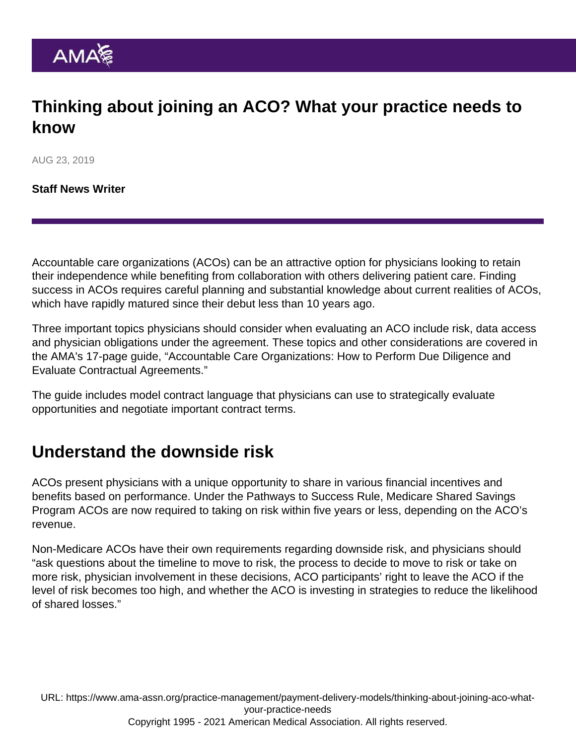## Thinking about joining an ACO? What your practice needs to know

AUG 23, 2019

[Staff News Writer](https://www.ama-assn.org/news-leadership-viewpoints/authors-news-leadership-viewpoints/staff-news-writer)

Accountable care organizations (ACOs) can be an attractive option for physicians looking to retain their independence while benefiting from collaboration with others delivering patient care. Finding success in ACOs requires careful planning and substantial knowledge about current realities of ACOs, which have rapidly matured since their debut less than 10 years ago.

Three important topics physicians should consider when evaluating an ACO include risk, data access and physician obligations under the agreement. These topics and other considerations are covered in the AMA's 17-page guide, ["Accountable Care Organizations: How to Perform Due Diligence and](https://www.ama-assn.org/system/files/2019-07/aco-contractual-agreements.pdf) [Evaluate Contractual Agreements](https://www.ama-assn.org/system/files/2019-07/aco-contractual-agreements.pdf)."

The guide includes model contract language that physicians can use to strategically evaluate opportunities and negotiate important contract terms.

## Understand the downside risk

ACOs present physicians with a unique opportunity to share in various financial incentives and benefits based on performance. Under the Pathways to Success Rule, Medicare Shared Savings Program ACOs are now required to taking on risk within five years or less, depending on the ACO's revenue.

Non-Medicare ACOs have their own requirements regarding downside risk, and physicians should "ask questions about the timeline to move to risk, the process to decide to move to risk or take on more risk, physician involvement in these decisions, ACO participants' right to leave the ACO if the level of risk becomes too high, and whether the ACO is investing in strategies to reduce the likelihood of shared losses."

URL: [https://www.ama-assn.org/practice-management/payment-delivery-models/thinking-about-joining-aco-what](https://www.ama-assn.org/practice-management/payment-delivery-models/thinking-about-joining-aco-what-your-practice-needs)[your-practice-needs](https://www.ama-assn.org/practice-management/payment-delivery-models/thinking-about-joining-aco-what-your-practice-needs) Copyright 1995 - 2021 American Medical Association. All rights reserved.